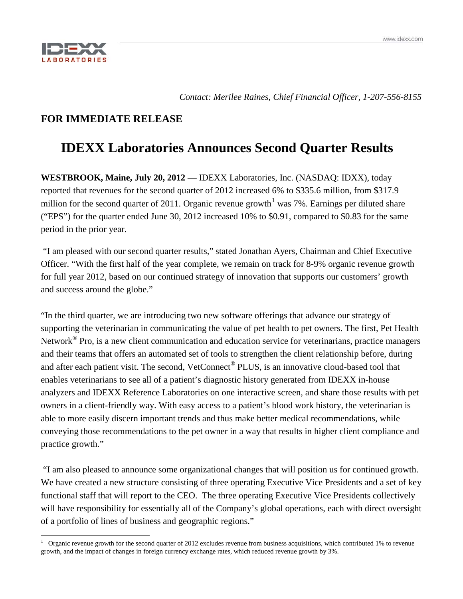

*Contact: Merilee Raines, Chief Financial Officer, 1-207-556-8155*

# **FOR IMMEDIATE RELEASE**

# **IDEXX Laboratories Announces Second Quarter Results**

**WESTBROOK, Maine, July 20, 2012** — IDEXX Laboratories, Inc. (NASDAQ: IDXX), today reported that revenues for the second quarter of 2012 increased 6% to \$335.6 million, from \$317.9 million for the second quarter of 20[1](#page-0-0)1. Organic revenue growth<sup>1</sup> was 7%. Earnings per diluted share ("EPS") for the quarter ended June 30, 2012 increased 10% to \$0.91, compared to \$0.83 for the same period in the prior year.

"I am pleased with our second quarter results," stated Jonathan Ayers, Chairman and Chief Executive Officer. "With the first half of the year complete, we remain on track for 8-9% organic revenue growth for full year 2012, based on our continued strategy of innovation that supports our customers' growth and success around the globe."

"In the third quarter, we are introducing two new software offerings that advance our strategy of supporting the veterinarian in communicating the value of pet health to pet owners. The first, Pet Health Network® Pro, is a new client communication and education service for veterinarians, practice managers and their teams that offers an automated set of tools to strengthen the client relationship before, during and after each patient visit. The second, VetConnect<sup>®</sup> PLUS, is an innovative cloud-based tool that enables veterinarians to see all of a patient's diagnostic history generated from IDEXX in-house analyzers and IDEXX Reference Laboratories on one interactive screen, and share those results with pet owners in a client-friendly way. With easy access to a patient's blood work history, the veterinarian is able to more easily discern important trends and thus make better medical recommendations, while conveying those recommendations to the pet owner in a way that results in higher client compliance and practice growth."

"I am also pleased to announce some organizational changes that will position us for continued growth. We have created a new structure consisting of three operating Executive Vice Presidents and a set of key functional staff that will report to the CEO. The three operating Executive Vice Presidents collectively will have responsibility for essentially all of the Company's global operations, each with direct oversight of a portfolio of lines of business and geographic regions."

<span id="page-0-0"></span> <sup>1</sup> Organic revenue growth for the second quarter of 2012 excludes revenue from business acquisitions, which contributed 1% to revenue growth, and the impact of changes in foreign currency exchange rates, which reduced revenue growth by 3%.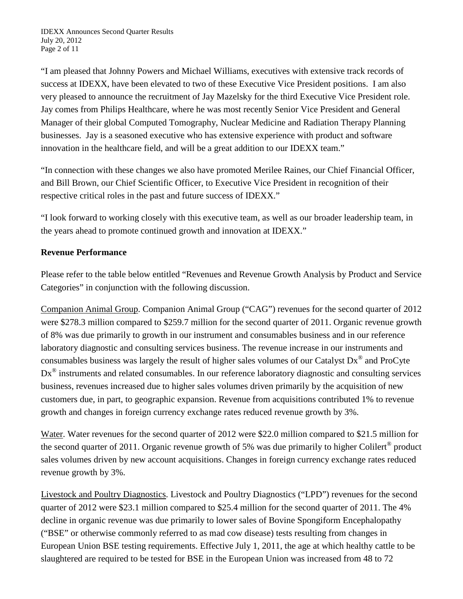"I am pleased that Johnny Powers and Michael Williams, executives with extensive track records of success at IDEXX, have been elevated to two of these Executive Vice President positions. I am also very pleased to announce the recruitment of Jay Mazelsky for the third Executive Vice President role. Jay comes from Philips Healthcare, where he was most recently Senior Vice President and General Manager of their global Computed Tomography, Nuclear Medicine and Radiation Therapy Planning businesses. Jay is a seasoned executive who has extensive experience with product and software innovation in the healthcare field, and will be a great addition to our IDEXX team."

"In connection with these changes we also have promoted Merilee Raines, our Chief Financial Officer, and Bill Brown, our Chief Scientific Officer, to Executive Vice President in recognition of their respective critical roles in the past and future success of IDEXX."

"I look forward to working closely with this executive team, as well as our broader leadership team, in the years ahead to promote continued growth and innovation at IDEXX."

# **Revenue Performance**

Please refer to the table below entitled "Revenues and Revenue Growth Analysis by Product and Service Categories" in conjunction with the following discussion.

Companion Animal Group. Companion Animal Group ("CAG") revenues for the second quarter of 2012 were \$278.3 million compared to \$259.7 million for the second quarter of 2011. Organic revenue growth of 8% was due primarily to growth in our instrument and consumables business and in our reference laboratory diagnostic and consulting services business. The revenue increase in our instruments and consumables business was largely the result of higher sales volumes of our Catalyst Dx® and ProCyte Dx® instruments and related consumables. In our reference laboratory diagnostic and consulting services business, revenues increased due to higher sales volumes driven primarily by the acquisition of new customers due, in part, to geographic expansion. Revenue from acquisitions contributed 1% to revenue growth and changes in foreign currency exchange rates reduced revenue growth by 3%.

Water. Water revenues for the second quarter of 2012 were \$22.0 million compared to \$21.5 million for the second quarter of 2011. Organic revenue growth of 5% was due primarily to higher Colilert® product sales volumes driven by new account acquisitions. Changes in foreign currency exchange rates reduced revenue growth by 3%.

Livestock and Poultry Diagnostics. Livestock and Poultry Diagnostics ("LPD") revenues for the second quarter of 2012 were \$23.1 million compared to \$25.4 million for the second quarter of 2011. The 4% decline in organic revenue was due primarily to lower sales of Bovine Spongiform Encephalopathy ("BSE" or otherwise commonly referred to as mad cow disease) tests resulting from changes in European Union BSE testing requirements. Effective July 1, 2011, the age at which healthy cattle to be slaughtered are required to be tested for BSE in the European Union was increased from 48 to 72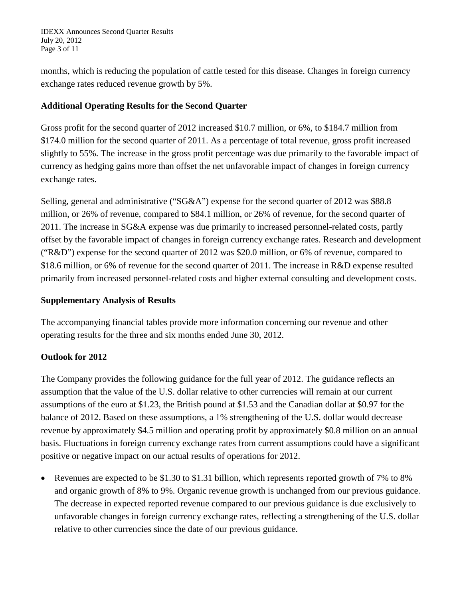IDEXX Announces Second Quarter Results July 20, 2012 Page 3 of 11

months, which is reducing the population of cattle tested for this disease. Changes in foreign currency exchange rates reduced revenue growth by 5%.

# **Additional Operating Results for the Second Quarter**

Gross profit for the second quarter of 2012 increased \$10.7 million, or 6%, to \$184.7 million from \$174.0 million for the second quarter of 2011. As a percentage of total revenue, gross profit increased slightly to 55%. The increase in the gross profit percentage was due primarily to the favorable impact of currency as hedging gains more than offset the net unfavorable impact of changes in foreign currency exchange rates.

Selling, general and administrative ("SG&A") expense for the second quarter of 2012 was \$88.8 million, or 26% of revenue, compared to \$84.1 million, or 26% of revenue, for the second quarter of 2011. The increase in SG&A expense was due primarily to increased personnel-related costs, partly offset by the favorable impact of changes in foreign currency exchange rates. Research and development ("R&D") expense for the second quarter of 2012 was \$20.0 million, or 6% of revenue, compared to \$18.6 million, or 6% of revenue for the second quarter of 2011. The increase in R&D expense resulted primarily from increased personnel-related costs and higher external consulting and development costs.

## **Supplementary Analysis of Results**

The accompanying financial tables provide more information concerning our revenue and other operating results for the three and six months ended June 30, 2012.

## **Outlook for 2012**

The Company provides the following guidance for the full year of 2012. The guidance reflects an assumption that the value of the U.S. dollar relative to other currencies will remain at our current assumptions of the euro at \$1.23, the British pound at \$1.53 and the Canadian dollar at \$0.97 for the balance of 2012. Based on these assumptions, a 1% strengthening of the U.S. dollar would decrease revenue by approximately \$4.5 million and operating profit by approximately \$0.8 million on an annual basis. Fluctuations in foreign currency exchange rates from current assumptions could have a significant positive or negative impact on our actual results of operations for 2012.

• Revenues are expected to be \$1.30 to \$1.31 billion, which represents reported growth of 7% to 8% and organic growth of 8% to 9%. Organic revenue growth is unchanged from our previous guidance. The decrease in expected reported revenue compared to our previous guidance is due exclusively to unfavorable changes in foreign currency exchange rates, reflecting a strengthening of the U.S. dollar relative to other currencies since the date of our previous guidance.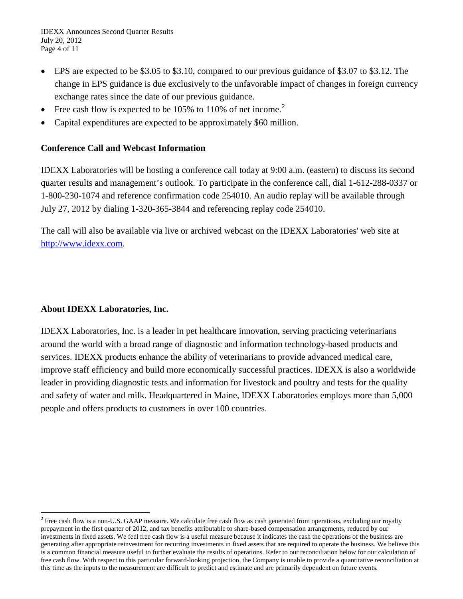- EPS are expected to be \$3.05 to \$3.10, compared to our previous guidance of \$3.07 to \$3.12. The change in EPS guidance is due exclusively to the unfavorable impact of changes in foreign currency exchange rates since the date of our previous guidance.
- Free cash flow is expected to be 105% to 110% of net income.<sup>[2](#page-3-0)</sup>
- Capital expenditures are expected to be approximately \$60 million.

# **Conference Call and Webcast Information**

IDEXX Laboratories will be hosting a conference call today at 9:00 a.m. (eastern) to discuss its second quarter results and management's outlook. To participate in the conference call, dial 1-612-288-0337 or 1-800-230-1074 and reference confirmation code 254010. An audio replay will be available through July 27, 2012 by dialing 1-320-365-3844 and referencing replay code 254010.

The call will also be available via live or archived webcast on the IDEXX Laboratories' web site at [http://www.idexx.com.](http://www.idexx.com/)

# **About IDEXX Laboratories, Inc.**

IDEXX Laboratories, Inc. is a leader in pet healthcare innovation, serving practicing veterinarians around the world with a broad range of diagnostic and information technology-based products and services. IDEXX products enhance the ability of veterinarians to provide advanced medical care, improve staff efficiency and build more economically successful practices. IDEXX is also a worldwide leader in providing diagnostic tests and information for livestock and poultry and tests for the quality and safety of water and milk. Headquartered in Maine, IDEXX Laboratories employs more than 5,000 people and offers products to customers in over 100 countries.

<span id="page-3-0"></span><sup>&</sup>lt;sup>2</sup> Free cash flow is a non-U.S. GAAP measure. We calculate free cash flow as cash generated from operations, excluding our royalty prepayment in the first quarter of 2012, and tax benefits attributable to share-based compensation arrangements, reduced by our investments in fixed assets. We feel free cash flow is a useful measure because it indicates the cash the operations of the business are generating after appropriate reinvestment for recurring investments in fixed assets that are required to operate the business. We believe this is a common financial measure useful to further evaluate the results of operations. Refer to our reconciliation below for our calculation of free cash flow. With respect to this particular forward-looking projection, the Company is unable to provide a quantitative reconciliation at this time as the inputs to the measurement are difficult to predict and estimate and are primarily dependent on future events.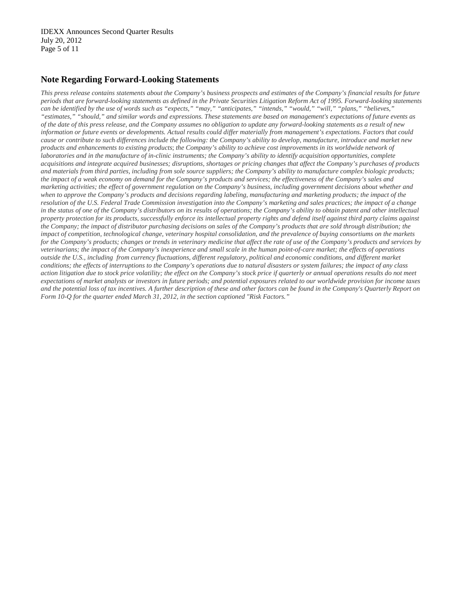IDEXX Announces Second Quarter Results July 20, 2012 Page 5 of 11

### **Note Regarding Forward-Looking Statements**

*This press release contains statements about the Company's business prospects and estimates of the Company's financial results for future periods that are forward-looking statements as defined in the Private Securities Litigation Reform Act of 1995. Forward-looking statements can be identified by the use of words such as "expects," "may," "anticipates," "intends," "would," "will," "plans," "believes," "estimates," "should," and similar words and expressions. These statements are based on management's expectations of future events as of the date of this press release, and the Company assumes no obligation to update any forward-looking statements as a result of new information or future events or developments. Actual results could differ materially from management's expectations. Factors that could cause or contribute to such differences include the following: the Company's ability to develop, manufacture, introduce and market new products and enhancements to existing products*; *the Company's ability to achieve cost improvements in its worldwide network of laboratories and in the manufacture of in-clinic instruments; the Company's ability to identify acquisition opportunities, complete acquisitions and integrate acquired businesses; disruptions, shortages or pricing changes that affect the Company's purchases of products*  and materials from third parties, including from sole source suppliers; the Company's ability to manufacture complex biologic products; *the impact of a weak economy on demand for the Company's products and services; the effectiveness of the Company's sales and marketing activities; the effect of government regulation on the Company's business, including government decisions about whether and when to approve the Company's products and decisions regarding labeling, manufacturing and marketing products; the impact of the resolution of the U.S. Federal Trade Commission investigation into the Company's marketing and sales practices; the impact of a change in the status of one of the Company's distributors on its results of operations; the Company's ability to obtain patent and other intellectual property protection for its products, successfully enforce its intellectual property rights and defend itself against third party claims against the Company; the impact of distributor purchasing decisions on sales of the Company's products that are sold through distribution; the impact of competition, technological change, veterinary hospital consolidation, and the prevalence of buying consortiums on the markets for the Company's products; changes or trends in veterinary medicine that affect the rate of use of the Company's products and services by veterinarians; the impact of the Company's inexperience and small scale in the human point-of-care market; the effects of operations outside the U.S., including from currency fluctuations, different regulatory, political and economic conditions, and different market conditions; the effects of interruptions to the Company's operations due to natural disasters or system failures; the impact of any class action litigation due to stock price volatility; the effect on the Company's stock price if quarterly or annual operations results do not meet expectations of market analysts or investors in future periods; and potential exposures related to our worldwide provision for income taxes and the potential loss of tax incentives. A further description of these and other factors can be found in the Company's Quarterly Report on Form 10-Q for the quarter ended March 31, 2012, in the section captioned "Risk Factors."*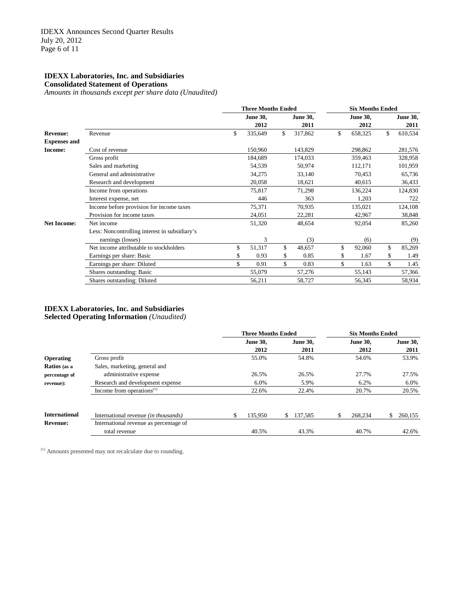# **IDEXX Laboratories, Inc. and Subsidiaries**

**Consolidated Statement of Operations** *Amounts in thousands except per share data (Unaudited)*

|                     |                                               | <b>Three Months Ended</b> |                 | <b>Six Months Ended</b> |                 |    |                 |  |  |
|---------------------|-----------------------------------------------|---------------------------|-----------------|-------------------------|-----------------|----|-----------------|--|--|
|                     |                                               | <b>June 30,</b>           | <b>June 30,</b> |                         | <b>June 30,</b> |    | <b>June 30,</b> |  |  |
|                     |                                               | 2012                      | 2011            |                         | 2012            |    | 2011            |  |  |
| <b>Revenue:</b>     | Revenue                                       | \$<br>335,649             | \$<br>317,862   | \$                      | 658,325         | \$ | 610,534         |  |  |
| <b>Expenses and</b> |                                               |                           |                 |                         |                 |    |                 |  |  |
| <b>Income:</b>      | Cost of revenue                               | 150,960                   | 143,829         |                         | 298,862         |    | 281,576         |  |  |
|                     | Gross profit                                  | 184,689                   | 174,033         |                         | 359,463         |    | 328,958         |  |  |
|                     | Sales and marketing                           | 54,539                    | 50,974          |                         | 112,171         |    | 101,959         |  |  |
|                     | General and administrative                    | 34,275                    | 33,140          |                         | 70,453          |    | 65,736          |  |  |
|                     | Research and development                      | 20,058                    | 18,621          |                         | 40,615          |    | 36,433          |  |  |
|                     | Income from operations                        | 75,817                    | 71,298          |                         | 136,224         |    | 124,830         |  |  |
|                     | Interest expense, net                         | 446                       | 363             |                         | 1,203           |    | 722             |  |  |
|                     | Income before provision for income taxes      | 75,371                    | 70,935          |                         | 135,021         |    | 124,108         |  |  |
|                     | Provision for income taxes                    | 24,051                    | 22,281          |                         | 42,967          |    | 38,848          |  |  |
| <b>Net Income:</b>  | Net income                                    | 51,320                    | 48,654          |                         | 92,054          |    | 85,260          |  |  |
|                     | Less: Noncontrolling interest in subsidiary's |                           |                 |                         |                 |    |                 |  |  |
|                     | earnings (losses)                             | 3                         | (3)             |                         | (6)             |    | (9)             |  |  |
|                     | Net income attributable to stockholders       | \$<br>51,317              | \$<br>48,657    | \$                      | 92,060          | \$ | 85,269          |  |  |
|                     | Earnings per share: Basic                     | \$<br>0.93                | \$<br>0.85      | \$                      | 1.67            | \$ | 1.49            |  |  |
|                     | Earnings per share: Diluted                   | \$<br>0.91                | \$<br>0.83      | \$                      | 1.63            | \$ | 1.45            |  |  |
|                     | <b>Shares outstanding: Basic</b>              | 55,079                    | 57,276          |                         | 55,143          |    | 57,366          |  |  |
|                     | Shares outstanding: Diluted                   | 56,211                    | 58,727          |                         | 56,345          |    | 58,934          |  |  |

# **IDEXX Laboratories, Inc. and Subsidiaries**

**Selected Operating Information** *(Unaudited)*

|                      |                                                    | <b>Three Months Ended</b> |  | <b>Six Months Ended</b> |                 |                 |  |
|----------------------|----------------------------------------------------|---------------------------|--|-------------------------|-----------------|-----------------|--|
|                      |                                                    | <b>June 30,</b>           |  | <b>June 30,</b>         | <b>June 30,</b> | <b>June 30,</b> |  |
|                      |                                                    | 2012                      |  | 2011                    | 2012            | 2011            |  |
| <b>Operating</b>     | Gross profit                                       | 55.0%                     |  | 54.8%                   | 54.6%           | 53.9%           |  |
| Ratios (as a         | Sales, marketing, general and                      |                           |  |                         |                 |                 |  |
| percentage of        | administrative expense                             | 26.5%                     |  | 26.5%                   | 27.7%           | 27.5%           |  |
| revenue):            | Research and development expense                   | 6.0%                      |  | 5.9%                    | 6.2%            | 6.0%            |  |
|                      | Income from operations <sup><math>(1)</math></sup> | 22.6%                     |  | 22.4%                   | 20.7%           | 20.5%           |  |
| <b>International</b> | International revenue <i>(in thousands)</i>        | \$<br>135,950             |  | 137,585                 | \$<br>268.234   | \$<br>260,155   |  |
| <b>Revenue:</b>      | International revenue as percentage of             |                           |  |                         |                 |                 |  |
|                      | total revenue                                      | 40.5%                     |  | 43.3%                   | 40.7%           | 42.6%           |  |

(1) Amounts presented may not recalculate due to rounding.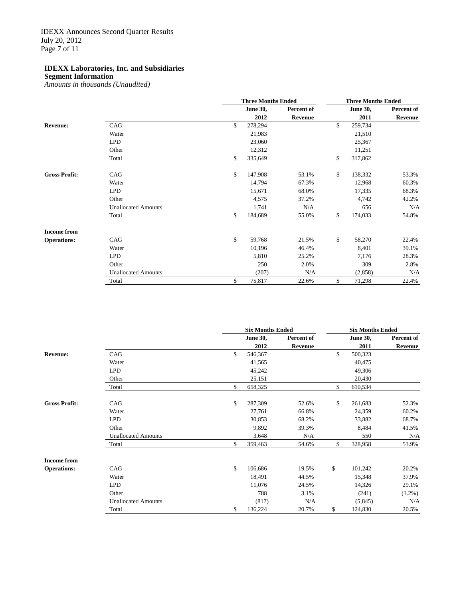IDEXX Announces Second Quarter Results July 20, 2012 Page 7 of 11

#### **IDEXX Laboratories, Inc. and Subsidiaries**

**Segment Information**

*Amounts in thousands (Unaudited)*

|                      |                            | <b>Three Months Ended</b> |                | <b>Three Months Ended</b> |                 |            |  |  |
|----------------------|----------------------------|---------------------------|----------------|---------------------------|-----------------|------------|--|--|
|                      |                            | <b>June 30,</b>           | Percent of     |                           | <b>June 30,</b> | Percent of |  |  |
|                      |                            | 2012                      | <b>Revenue</b> |                           | 2011            | Revenue    |  |  |
| <b>Revenue:</b>      | CAG                        | \$<br>278,294             |                | \$                        | 259,734         |            |  |  |
|                      | Water                      | 21,983                    |                |                           | 21,510          |            |  |  |
|                      | <b>LPD</b>                 | 23,060                    |                |                           | 25,367          |            |  |  |
|                      | Other                      | 12,312                    |                |                           | 11,251          |            |  |  |
|                      | Total                      | \$<br>335,649             |                | \$                        | 317,862         |            |  |  |
| <b>Gross Profit:</b> | CAG                        | \$<br>147,908             | 53.1%          | \$                        | 138,332         | 53.3%      |  |  |
|                      | Water                      | 14,794                    | 67.3%          |                           | 12,968          | 60.3%      |  |  |
|                      | LPD                        | 15,671                    | 68.0%          |                           | 17,335          | 68.3%      |  |  |
|                      | Other                      | 4,575                     | 37.2%          |                           | 4,742           | 42.2%      |  |  |
|                      | <b>Unallocated Amounts</b> | 1,741                     | N/A            |                           | 656             | N/A        |  |  |
|                      | Total                      | \$<br>184,689             | 55.0%          | \$                        | 174,033         | 54.8%      |  |  |
| <b>Income from</b>   |                            |                           |                |                           |                 |            |  |  |
| <b>Operations:</b>   | CAG                        | \$<br>59,768              | 21.5%          | \$                        | 58,270          | 22.4%      |  |  |
|                      | Water                      | 10,196                    | 46.4%          |                           | 8,401           | 39.1%      |  |  |
|                      | <b>LPD</b>                 | 5,810                     | 25.2%          |                           | 7,176           | 28.3%      |  |  |
|                      | Other                      | 250                       | 2.0%           |                           | 309             | 2.8%       |  |  |
|                      | <b>Unallocated Amounts</b> | (207)                     | N/A            |                           | (2,858)         | N/A        |  |  |
|                      | Total                      | \$<br>75,817              | 22.6%          | \$                        | 71,298          | 22.4%      |  |  |

|                      |                            | <b>Six Months Ended</b> |                | <b>Six Months Ended</b> |                 |                |  |
|----------------------|----------------------------|-------------------------|----------------|-------------------------|-----------------|----------------|--|
|                      |                            | <b>June 30,</b>         | Percent of     |                         | <b>June 30,</b> | Percent of     |  |
|                      |                            | 2012                    | <b>Revenue</b> |                         | 2011            | <b>Revenue</b> |  |
| <b>Revenue:</b>      | CAG                        | \$<br>546,367           |                | \$                      | 500,323         |                |  |
|                      | Water                      | 41,565                  |                |                         | 40,475          |                |  |
|                      | <b>LPD</b>                 | 45,242                  |                |                         | 49,306          |                |  |
|                      | Other                      | 25,151                  |                |                         | 20,430          |                |  |
|                      | Total                      | \$<br>658,325           |                | \$                      | 610,534         |                |  |
| <b>Gross Profit:</b> | CAG                        | \$<br>287,309           | 52.6%          | \$                      | 261,683         | 52.3%          |  |
|                      | Water                      | 27,761                  | 66.8%          |                         | 24,359          | 60.2%          |  |
|                      | <b>LPD</b>                 | 30,853                  | 68.2%          |                         | 33,882          | 68.7%          |  |
|                      | Other                      | 9,892                   | 39.3%          |                         | 8,484           | 41.5%          |  |
|                      | <b>Unallocated Amounts</b> | 3,648                   | N/A            |                         | 550             | N/A            |  |
|                      | Total                      | \$<br>359,463           | 54.6%          | \$                      | 328,958         | 53.9%          |  |
| <b>Income from</b>   |                            |                         |                |                         |                 |                |  |
| <b>Operations:</b>   | CAG                        | \$<br>106,686           | 19.5%          | \$                      | 101,242         | 20.2%          |  |
|                      | Water                      | 18,491                  | 44.5%          |                         | 15,348          | 37.9%          |  |
|                      | <b>LPD</b>                 | 11,076                  | 24.5%          |                         | 14,326          | 29.1%          |  |
|                      | Other                      | 788                     | 3.1%           |                         | (241)           | $(1.2\%)$      |  |
|                      | <b>Unallocated Amounts</b> | (817)                   | N/A            |                         | (5,845)         | N/A            |  |
|                      | Total                      | \$<br>136,224           | 20.7%          | \$                      | 124,830         | 20.5%          |  |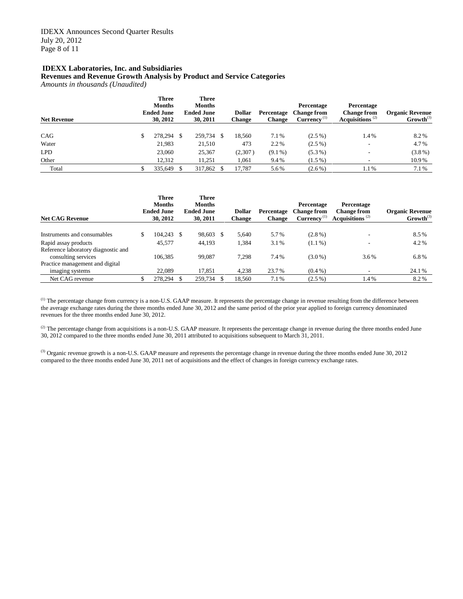#### **IDEXX Laboratories, Inc. and Subsidiaries**

**Revenues and Revenue Growth Analysis by Product and Service Categories**

*Amounts in thousands (Unaudited)*

| <b>Net Revenue</b> |   | <b>Three</b><br><b>Months</b><br><b>Ended June</b><br>30, 2012 | <b>Three</b><br><b>Months</b><br><b>Ended June</b><br>30, 2011 | <b>Dollar</b><br>Change | Percentage<br>Change | Percentage<br><b>Change from</b><br>Currence <sup>(1)</sup> | Percentage<br><b>Change from</b><br>Acquisitions <sup><math>(2)</math></sup> | <b>Organic Revenue</b><br>$Growth^{(3)}$ |
|--------------------|---|----------------------------------------------------------------|----------------------------------------------------------------|-------------------------|----------------------|-------------------------------------------------------------|------------------------------------------------------------------------------|------------------------------------------|
| CAG                |   |                                                                |                                                                |                         | 7.1%                 |                                                             | 1.4%                                                                         | 8.2%                                     |
|                    | S | 278,294 \$                                                     | 259,734 \$                                                     | 18,560                  |                      | $(2.5\%)$                                                   |                                                                              |                                          |
| Water              |   | 21,983                                                         | 21,510                                                         | 473                     | 2.2%                 | $(2.5\%)$                                                   | $\overline{\phantom{a}}$                                                     | 4.7%                                     |
| <b>LPD</b>         |   | 23,060                                                         | 25,367                                                         | (2,307)                 | $(9.1\%)$            | $(5.3\%)$                                                   | $\overline{\phantom{a}}$                                                     | $(3.8\%)$                                |
| Other              |   | 12,312                                                         | 11,251                                                         | 1,061                   | 9.4%                 | $(1.5\%)$                                                   |                                                                              | 10.9%                                    |
| Total              |   | 335.649                                                        | 317,862                                                        | 17.787                  | 5.6%                 | $(2.6\%)$                                                   | 1.1%                                                                         | 7.1%                                     |

| <b>Net CAG Revenue</b>              |   | <b>Three</b><br><b>Months</b><br><b>Ended June</b><br>30, 2012 | <b>Three</b><br><b>Months</b><br><b>Ended June</b><br>30, 2011 | <b>Dollar</b><br>Change | Percentage<br><b>Change</b> | Percentage<br><b>Change from</b><br>$Curreney$ <sup>(1)</sup> | Percentage<br><b>Change from</b><br>Acquisitions <sup><math>(2)</math></sup> | <b>Organic Revenue</b><br>$Growth^{(3)}$ |
|-------------------------------------|---|----------------------------------------------------------------|----------------------------------------------------------------|-------------------------|-----------------------------|---------------------------------------------------------------|------------------------------------------------------------------------------|------------------------------------------|
|                                     |   |                                                                |                                                                |                         |                             |                                                               |                                                                              |                                          |
| Instruments and consumables         | S | 104.243 \$                                                     | 98,603 \$                                                      | 5,640                   | 5.7%                        | $(2.8\%)$                                                     |                                                                              | 8.5%                                     |
| Rapid assay products                |   | 45,577                                                         | 44,193                                                         | 1,384                   | 3.1%                        | $(1.1\%)$                                                     |                                                                              | 4.2%                                     |
| Reference laboratory diagnostic and |   |                                                                |                                                                |                         |                             |                                                               |                                                                              |                                          |
| consulting services                 |   | 106.385                                                        | 99,087                                                         | 7.298                   | 7.4%                        | $(3.0\%)$                                                     | 3.6%                                                                         | 6.8%                                     |
| Practice management and digital     |   |                                                                |                                                                |                         |                             |                                                               |                                                                              |                                          |
| imaging systems                     |   | 22.089                                                         | 17,851                                                         | 4,238                   | 23.7%                       | $(0.4\%)$                                                     |                                                                              | 24.1 %                                   |
| Net CAG revenue                     |   | 278.294                                                        | 259,734 \$                                                     | 18,560                  | 7.1%                        | $(2.5\%)$                                                     | 1.4%                                                                         | 8.2%                                     |

<sup>(1)</sup> The percentage change from currency is a non-U.S. GAAP measure. It represents the percentage change in revenue resulting from the difference between the average exchange rates during the three months ended June 30, 2012 and the same period of the prior year applied to foreign currency denominated revenues for the three months ended June 30, 2012.

<sup>(2)</sup> The percentage change from acquisitions is a non-U.S. GAAP measure. It represents the percentage change in revenue during the three months ended June 30, 2012 compared to the three months ended June 30, 2011 attributed to acquisitions subsequent to March 31, 2011.

<sup>(3)</sup> Organic revenue growth is a non-U.S. GAAP measure and represents the percentage change in revenue during the three months ended June 30, 2012 compared to the three months ended June 30, 2011 net of acquisitions and the effect of changes in foreign currency exchange rates.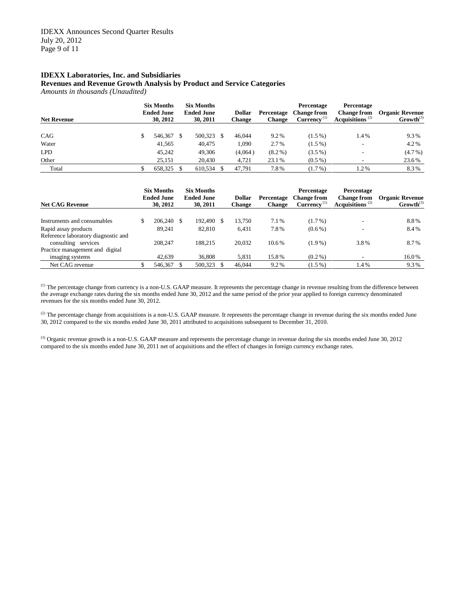#### **IDEXX Laboratories, Inc. and Subsidiaries Revenues and Revenue Growth Analysis by Product and Service Categories**

*Amounts in thousands (Unaudited)*

| <b>Net Revenue</b> | <b>Six Months</b><br><b>Ended June</b><br>30, 2012 | <b>Six Months</b><br><b>Ended June</b><br>30, 2011 | <b>Dollar</b><br><b>Change</b> | Percentage<br><b>Change</b> | Percentage<br><b>Change from</b><br>Currence <sup>(1)</sup> | Percentage<br><b>Change from</b><br>Acquisitions $(2)$ | <b>Organic Revenue</b><br>$Growth^{(3)}$ |
|--------------------|----------------------------------------------------|----------------------------------------------------|--------------------------------|-----------------------------|-------------------------------------------------------------|--------------------------------------------------------|------------------------------------------|
|                    |                                                    |                                                    |                                |                             |                                                             |                                                        |                                          |
| CAG                | 546,367                                            | 500,323                                            | 46,044                         | 9.2%                        | $(1.5\%)$                                                   | 1.4%                                                   | 9.3%                                     |
| Water              | 41.565                                             | 40,475                                             | 1,090                          | 2.7%                        | $(1.5\%)$                                                   |                                                        | 4.2%                                     |
| <b>LPD</b>         | 45.242                                             | 49,306                                             | (4,064)                        | $(8.2\%)$                   | $(3.5\%)$                                                   |                                                        | $(4.7\%)$                                |
| Other              | 25.151                                             | 20.430                                             | 4.721                          | 23.1 %                      | $(0.5\%)$                                                   |                                                        | 23.6%                                    |
| Total              | 658.325                                            | 610.534                                            | 47.791                         | 7.8%                        | $(1.7\%)$                                                   | 1.2%                                                   | 8.3%                                     |

| <b>Net CAG Revenue</b>              | <b>Six Months</b><br><b>Ended June</b><br>30, 2012 |    | <b>Six Months</b><br><b>Ended June</b><br>30, 2011 | <b>Dollar</b><br><b>Change</b> | Percentage<br><b>Change</b> | Percentage<br><b>Change from</b><br>Current <sup>(1)</sup> | Percentage<br><b>Change from</b><br>Acquisitions <sup><math>(2)</math></sup> | <b>Organic Revenue</b><br>$Growth^{(3)}$ |
|-------------------------------------|----------------------------------------------------|----|----------------------------------------------------|--------------------------------|-----------------------------|------------------------------------------------------------|------------------------------------------------------------------------------|------------------------------------------|
|                                     |                                                    |    |                                                    |                                |                             |                                                            |                                                                              |                                          |
| Instruments and consumables         | 206,240                                            | £. | 192.490                                            | 13.750                         | 7.1%                        | $(1.7\%)$                                                  |                                                                              | 8.8%                                     |
| Rapid assay products                | 89.241                                             |    | 82,810                                             | 6.431                          | 7.8%                        | $(0.6\%)$                                                  |                                                                              | 8.4%                                     |
| Reference laboratory diagnostic and |                                                    |    |                                                    |                                |                             |                                                            |                                                                              |                                          |
| consulting services                 | 208,247                                            |    | 188.215                                            | 20,032                         | 10.6%                       | $(1.9\%)$                                                  | 3.8%                                                                         | 8.7%                                     |
| Practice management and digital     |                                                    |    |                                                    |                                |                             |                                                            |                                                                              |                                          |
| imaging systems                     | 42.639                                             |    | 36,808                                             | 5,831                          | 15.8%                       | $(0.2\%)$                                                  |                                                                              | 16.0%                                    |
| Net CAG revenue                     | 546,367                                            |    | 500,323                                            | 46,044                         | 9.2%                        | $(1.5\%)$                                                  | 1.4%                                                                         | 9.3%                                     |

(1) The percentage change from currency is a non-U.S. GAAP measure. It represents the percentage change in revenue resulting from the difference between the average exchange rates during the six months ended June 30, 2012 and the same period of the prior year applied to foreign currency denominated revenues for the six months ended June 30, 2012.

<sup>(2)</sup> The percentage change from acquisitions is a non-U.S. GAAP measure. It represents the percentage change in revenue during the six months ended June 30, 2012 compared to the six months ended June 30, 2011 attributed to acquisitions subsequent to December 31, 2010.

<sup>(3)</sup> Organic revenue growth is a non-U.S. GAAP measure and represents the percentage change in revenue during the six months ended June 30, 2012 compared to the six months ended June 30, 2011 net of acquisitions and the effect of changes in foreign currency exchange rates.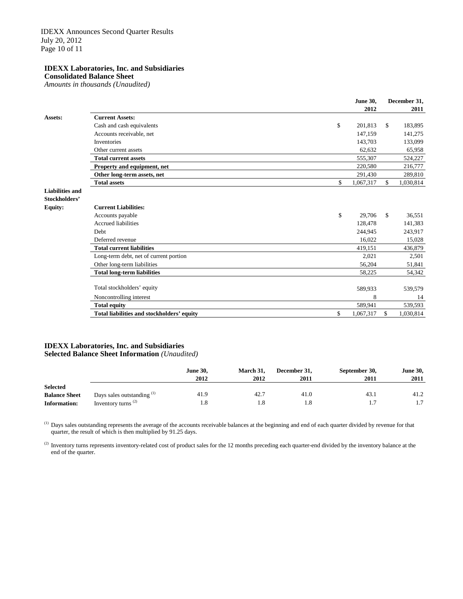IDEXX Announces Second Quarter Results July 20, 2012 Page 10 of 11

#### **IDEXX Laboratories, Inc. and Subsidiaries**

**Consolidated Balance Sheet**

*Amounts in thousands (Unaudited)*

|                        |                                            | <b>June 30,</b> | December 31,    |
|------------------------|--------------------------------------------|-----------------|-----------------|
|                        |                                            | 2012            | 2011            |
| Assets:                | <b>Current Assets:</b>                     |                 |                 |
|                        | Cash and cash equivalents                  | \$<br>201,813   | \$<br>183,895   |
|                        | Accounts receivable, net                   | 147,159         | 141,275         |
|                        | <b>Inventories</b>                         | 143,703         | 133,099         |
|                        | Other current assets                       | 62.632          | 65,958          |
|                        | <b>Total current assets</b>                | 555,307         | 524,227         |
|                        | Property and equipment, net                | 220,580         | 216,777         |
|                        | Other long-term assets, net                | 291,430         | 289,810         |
|                        | <b>Total assets</b>                        | \$<br>1,067,317 | \$<br>1,030,814 |
| <b>Liabilities and</b> |                                            |                 |                 |
| Stockholders'          |                                            |                 |                 |
| <b>Equity:</b>         | <b>Current Liabilities:</b>                |                 |                 |
|                        | Accounts payable                           | \$<br>29,706    | \$<br>36,551    |
|                        | <b>Accrued liabilities</b>                 | 128,478         | 141,383         |
|                        | <b>Debt</b>                                | 244,945         | 243,917         |
|                        | Deferred revenue                           | 16.022          | 15,028          |
|                        | <b>Total current liabilities</b>           | 419,151         | 436,879         |
|                        | Long-term debt, net of current portion     | 2,021           | 2,501           |
|                        | Other long-term liabilities                | 56.204          | 51,841          |
|                        | <b>Total long-term liabilities</b>         | 58,225          | 54,342          |
|                        | Total stockholders' equity                 | 589,933         | 539,579         |
|                        | Noncontrolling interest                    | 8               | 14              |
|                        | <b>Total equity</b>                        | 589,941         | 539,593         |
|                        | Total liabilities and stockholders' equity | \$<br>1,067,317 | \$<br>1,030,814 |
|                        |                                            |                 |                 |

#### **IDEXX Laboratories, Inc. and Subsidiaries Selected Balance Sheet Information** *(Unaudited)*

|                      |                                       | <b>June 30,</b><br>2012 | March 31,<br>2012 | December 31.<br>2011 | September 30,<br><b>2011</b> | <b>June 30,</b><br>2011 |
|----------------------|---------------------------------------|-------------------------|-------------------|----------------------|------------------------------|-------------------------|
| <b>Selected</b>      |                                       |                         |                   |                      |                              |                         |
| <b>Balance Sheet</b> | Days sales outstanding <sup>(1)</sup> | 41.9                    | 42.7              | 41.0                 | 43.1                         | 41.2                    |
| <b>Information:</b>  | Inventory turns $(2)$                 |                         |                   |                      |                              |                         |

 $<sup>(1)</sup>$  Days sales outstanding represents the average of the accounts receivable balances at the beginning and end of each quarter divided by revenue for that</sup> quarter, the result of which is then multiplied by 91.25 days.

<sup>(2)</sup> Inventory turns represents inventory-related cost of product sales for the 12 months preceding each quarter-end divided by the inventory balance at the end of the quarter.